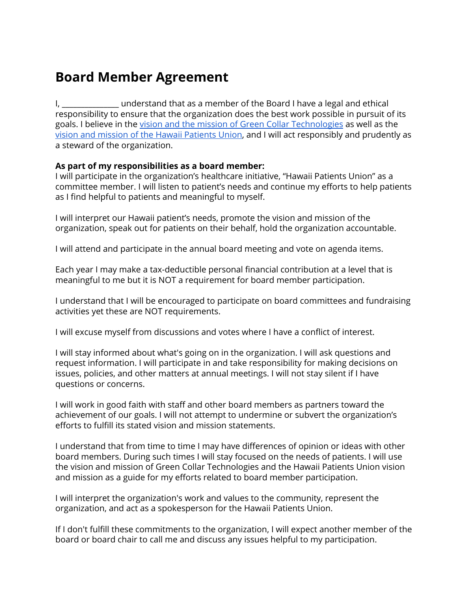## **Board Member Agreement**

I, dependent understand that as a member of the Board I have a legal and ethical responsibility to ensure that the organization does the best work possible in pursuit of [it](https://hawaiipatientsunion.com/about/)s goals. I believe in th[e](https://greencollartech.com/about/) vision and the mission of Green Collar [Technologies](https://greencollartech.com/about/) as well as the vision and mission of the Hawaii [Patients](https://hawaiipatientsunion.com/about/) Union, and I will act responsibly and prudently as a steward of the organization.

## **As part of my responsibilities as a board member:**

I will participate in the organization's healthcare initiative, "Hawaii Patients Union" as a committee member. I will listen to patient's needs and continue my efforts to help patients as I find helpful to patients and meaningful to myself.

I will interpret our Hawaii patient's needs, promote the vision and mission of the organization, speak out for patients on their behalf, hold the organization accountable.

I will attend and participate in the annual board meeting and vote on agenda items.

Each year I may make a tax-deductible personal financial contribution at a level that is meaningful to me but it is NOT a requirement for board member participation.

I understand that I will be encouraged to participate on board committees and fundraising activities yet these are NOT requirements.

I will excuse myself from discussions and votes where I have a conflict of interest.

I will stay informed about what's going on in the organization. I will ask questions and request information. I will participate in and take responsibility for making decisions on issues, policies, and other matters at annual meetings. I will not stay silent if I have questions or concerns.

I will work in good faith with staff and other board members as partners toward the achievement of our goals. I will not attempt to undermine or subvert the organization's efforts to fulfill its stated vision and mission statements.

I understand that from time to time I may have differences of opinion or ideas with other board members. During such times I will stay focused on the needs of patients. I will use the vision and mission of Green Collar Technologies and the Hawaii Patients Union vision and mission as a guide for my efforts related to board member participation.

I will interpret the organization's work and values to the community, represent the organization, and act as a spokesperson for the Hawaii Patients Union.

If I don't fulfill these commitments to the organization, I will expect another member of the board or board chair to call me and discuss any issues helpful to my participation.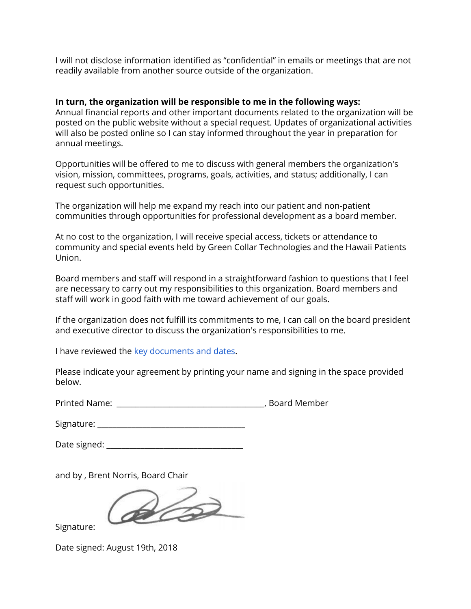I will not disclose information identified as "confidential" in emails or meetings that are not readily available from another source outside of the organization.

## **In turn, the organization will be responsible to me in the following ways:**

Annual financial reports and other important documents related to the organization will be posted on the public website without a special request. Updates of organizational activities will also be posted online so I can stay informed throughout the year in preparation for annual meetings.

Opportunities will be offered to me to discuss with general members the organization's vision, mission, committees, programs, goals, activities, and status; additionally, I can request such opportunities.

The organization will help me expand my reach into our patient and non-patient communities through opportunities for professional development as a board member.

At no cost to the organization, I will receive special access, tickets or attendance to community and special events held by Green Collar Technologies and the Hawaii Patients Union.

Board members and staff will respond in a straightforward fashion to questions that I feel are necessary to carry out my responsibilities to this organization. Board members and staff will work in good faith with me toward achievement of our goals.

If the organization does not fulfill its commitments to me, I can call on the board president and executive director to discuss the organization's responsibilities to me.

I have reviewed the key [documents](https://greencollartech.com/board-member-documents-and-dates/) and dates.

Please indicate your agreement by printing your name and signing in the space provided below.

Printed Name: The Contract of the Contract of the Contract of the Printed Member

| Signature: |  |
|------------|--|
|            |  |

Date signed:  $\Box$ 

and by , Brent Norris, Board Chair

 $\mathscr{D}$ 

Signature:

Date signed: August 19th, 2018